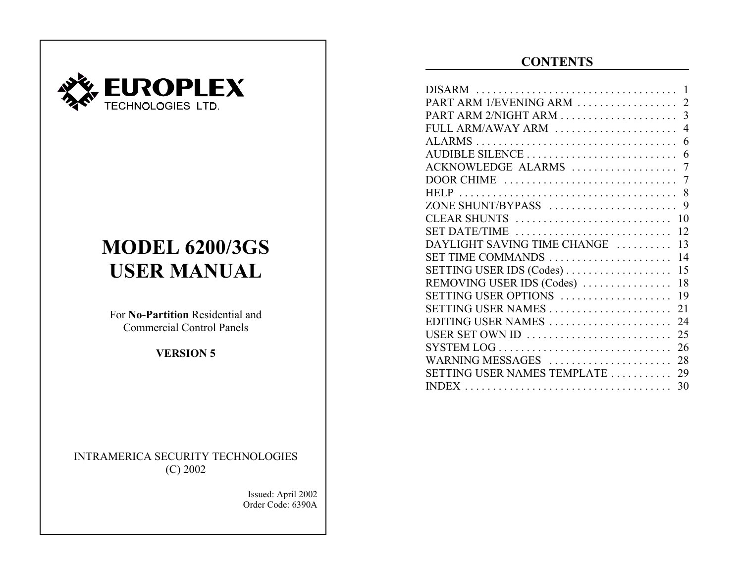

# **MODEL 6200/3GS USER MANUAL**

For **No-Partition** Residential andCommercial Control Panels

**VERSION 5**

INTRAMERICA SECURITY TECHNOLOGIES (C) 2002

> Issued: April 2002 Order Code: 6390A

# **CONTENTS**

| FULL ARM/AWAY ARM  4              |
|-----------------------------------|
|                                   |
|                                   |
|                                   |
|                                   |
|                                   |
|                                   |
| CLEAR SHUNTS<br>10                |
| SET DATE/TIME<br>12               |
| DAYLIGHT SAVING TIME CHANGE<br>13 |
| 14<br>SET TIME COMMANDS           |
| SETTING USER IDS (Codes)<br>15    |
| 18<br>REMOVING USER IDS (Codes)   |
| SETTING USER OPTIONS<br>19        |
| SETTING USER NAMES<br>21          |
| EDITING USER NAMES<br>24          |
|                                   |
|                                   |
| WARNING MESSAGES<br>28            |
| SETTING USER NAMES TEMPLATE<br>29 |
| 30                                |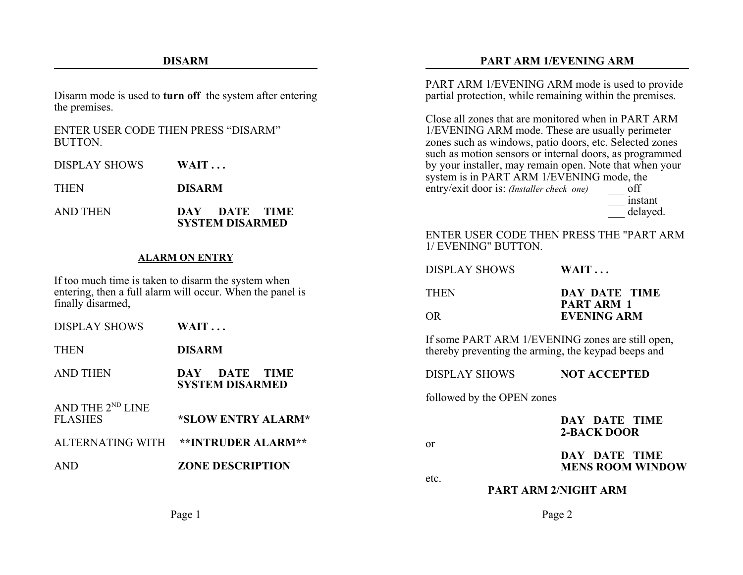#### **DISARM**

Disarm mode is used to **turn off** the system after entering the premises.

#### ENTER USER CODE THEN PRESS "DISARM"BUTTON.

DISPLAY SHOWS**WAIT . . .**

**THEN DISARM**

AND THEN **DAY DATE TIME SYSTEM DISARMED**

#### **ALARM ON ENTRY**

If too much time is taken to disarm the system when entering, then a full alarm will occur. When the panel is finally disarmed,

| DISPLAY SHOWS                                  | $WAIT \dots$                               |
|------------------------------------------------|--------------------------------------------|
| <b>THEN</b>                                    | <b>DISARM</b>                              |
| AND THEN                                       | DATE TIME<br>DAY<br><b>SYSTEM DISARMED</b> |
| AND THE 2 <sup>ND</sup> LINE<br><b>FLASHES</b> | *SLOW ENTRY ALARM*                         |
| ALTERNATING WITH                               | <b>**INTRUDER ALARM**</b>                  |
| AND                                            | <b>ZONE DESCRIPTION</b>                    |
|                                                |                                            |

#### **PART ARM 1/EVENING ARM**

PART ARM 1/EVENING ARM mode is used to provide partial protection, while remaining within the premises.

Close all zones that are monitored when in PART ARM1/EVENING ARM mode. These are usually perimeter zones such as windows, patio doors, etc. Selected zones such as motion sensors or internal doors, as programmed by your installer, may remain open. Note that when your system is in PART ARM 1/EVENING mode, the entry/exit door is: *(Installer check one)* off \_\_\_ instant

delayed. ENTER USER CODE THEN PRESS THE "PART ARM1/ EVENING" BUTTON.

| <b>DISPLAY SHOWS</b>                                                                                    | $WAIT \dots$                            |
|---------------------------------------------------------------------------------------------------------|-----------------------------------------|
| <b>THEN</b>                                                                                             | DAY DATE TIME                           |
| OR.                                                                                                     | <b>PART ARM 1</b><br><b>EVENING ARM</b> |
| If some PART ARM 1/EVENING zones are still open,<br>thereby preventing the arming, the keypad beeps and |                                         |

DISPLAY SHOWS**NOT ACCEPTED**

followed by the OPEN zones

#### **DAY DATE TIME2-BACK DOOR**

or

etc.

**DAY DATE TIMEMENS ROOM WINDOW**

**PART ARM 2/NIGHT ARM**

Page 2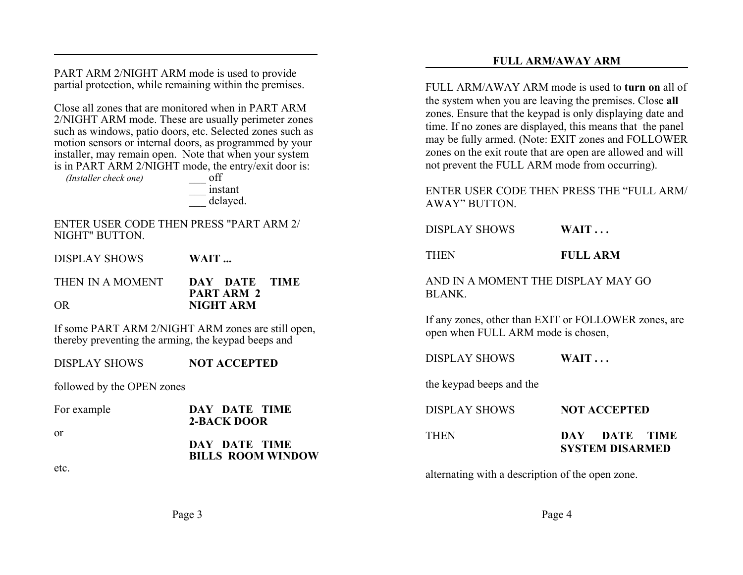PART ARM 2/NIGHT ARM mode is used to provide partial protection, while remaining within the premises.

Close all zones that are monitored when in PART ARM2/NIGHT ARM mode. These are usually perimeter zones such as windows, patio doors, etc. Selected zones such as motion sensors or internal doors, as programmed by your installer, may remain open. Note that when your system is in PART ARM 2/NIGHT mode, the entry/exit door is:

*(Installer check one)* \_\_\_ off

\_\_\_ instant delayed.

#### ENTER USER CODE THEN PRESS "PART ARM 2/NIGHT" BUTTON.

DISPLAY SHOWS **WAIT ...** THEN IN A MOMENT **DAY DATE TIMEPART ARM 2**OR**NIGHT ARM**

If some PART ARM 2/NIGHT ARM zones are still open, thereby preventing the arming, the keypad beeps and

DISPLAY SHOWS**NOT ACCEPTED**

followed by the OPEN zones

etc.

| For example | DAY DATE TIME<br>2-BACK DOOR              | DISPLAY SHOWS | <b>NOT ACCEPTED</b>                     |
|-------------|-------------------------------------------|---------------|-----------------------------------------|
| 0r          | DAY DATE TIME<br><b>BILLS ROOM WINDOW</b> | THEN          | DAY DATE TIME<br><b>SYSTEM DISARMED</b> |

alternating with a description of the open zone.

**FULL ARM/AWAY ARM**

FULL ARM/AWAY ARM mode is used to **turn on** all ofthe system when you are leaving the premises. Close **all** zones. Ensure that the keypad is only displaying date and time. If no zones are displayed, this means that the panel may be fully armed. (Note: EXIT zones and FOLLOWER zones on the exit route that are open are allowed and will not prevent the FULL ARM mode from occurring).

#### ENTER USER CODE THEN PRESS THE "FULL ARM/AWAY" BUTTON.

DISPLAY SHOWS**WAIT . . .**

THEN

**FULL ARM**

AND IN A MOMENT THE DISPLAY MAY GOBLANK.

If any zones, other than EXIT or FOLLOWER zones, are open when FULL ARM mode is chosen,

DISPLAY SHOWS**WAIT . . .**

the keypad beeps and the

Page 4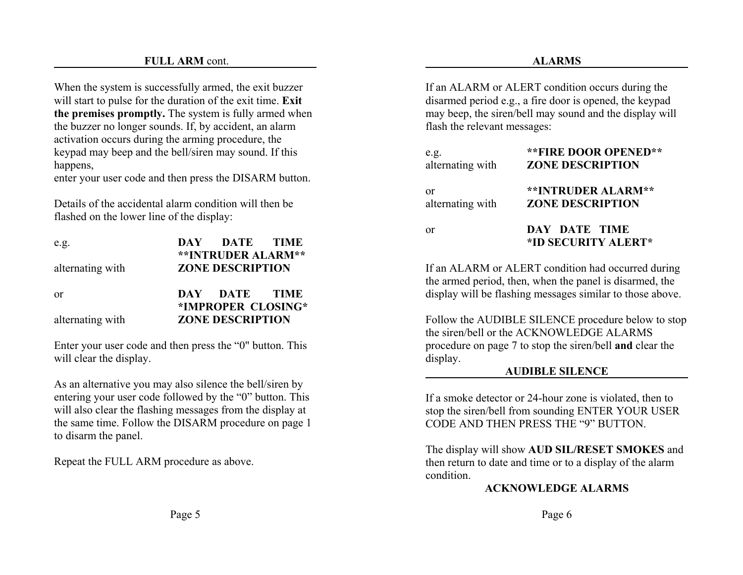#### **FULL ARM** cont.

When the system is successfully armed, the exit buzzer will start to pulse for the duration of the exit time. **Exit the premises promptly.** The system is fully armed when the buzzer no longer sounds. If, by accident, an alarm activation occurs during the arming procedure, the keypad may beep and the bell/siren may sound. If this happens,

enter your user code and then press the DISARM button.

Details of the accidental alarm condition will then beflashed on the lower line of the display:

| e.g.             | DAY DATE TIME             |  |
|------------------|---------------------------|--|
|                  | <b>**INTRUDER ALARM**</b> |  |
| alternating with | <b>ZONE DESCRIPTION</b>   |  |
|                  |                           |  |
| 0r               | DAY DATE TIME             |  |
|                  | *IMPROPER CLOSING*        |  |
| alternating with | <b>ZONE DESCRIPTION</b>   |  |
|                  |                           |  |

Enter your user code and then press the "0" button. This will clear the display.

As an alternative you may also silence the bell/siren by entering your user code followed by the "0" button. This will also clear the flashing messages from the display at the same time. Follow the DISARM procedure on page 1 to disarm the panel.

Repeat the FULL ARM procedure as above.

If an ALARM or ALERT condition occurs during the disarmed period e.g., a fire door is opened, the keypad may beep, the siren/bell may sound and the display will flash the relevant messages:

| e.g.             | <b>**FIRE DOOR OPENED**</b>          |
|------------------|--------------------------------------|
| alternating with | <b>ZONE DESCRIPTION</b>              |
| or               | **INTRUDER ALARM**                   |
| alternating with | <b>ZONE DESCRIPTION</b>              |
| or               | DAY DATE TIME<br>*ID SECURITY ALERT* |

If an ALARM or ALERT condition had occurred during the armed period, then, when the panel is disarmed, the display will be flashing messages similar to those above.

Follow the AUDIBLE SILENCE procedure below to stop the siren/bell or the ACKNOWLEDGE ALARMSprocedure on page 7 to stop the siren/bell **and** clear the display.

#### **AUDIBLE SILENCE**

If a smoke detector or 24-hour zone is violated, then to stop the siren/bell from sounding ENTER YOUR USER CODE AND THEN PRESS THE "9" BUTTON.

The display will show **AUD SIL/RESET SMOKES** and then return to date and time or to a display of the alarm condition.

#### **ACKNOWLEDGE ALARMS**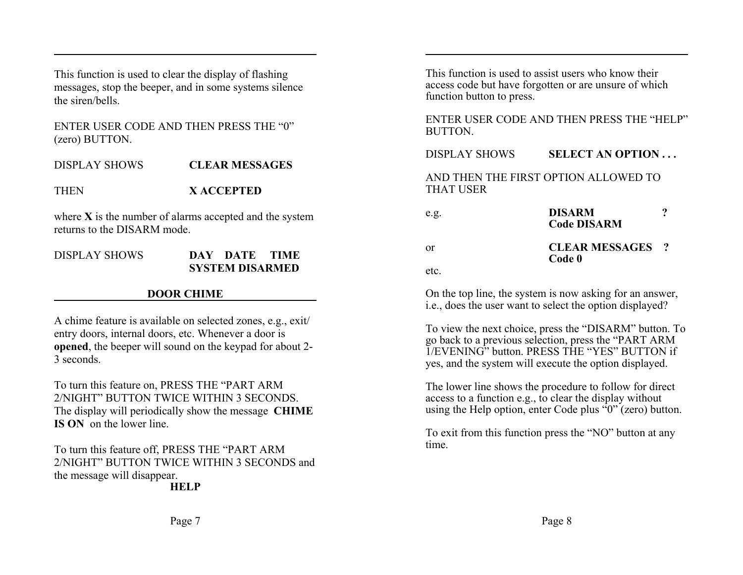This function is used to clear the display of flashing messages, stop the beeper, and in some systems silence the siren/bells.

ENTER USER CODE AND THEN PRESS THE "0"(zero) BUTTON.

DISPLAY SHOWS**CLEAR MESSAGES**

**THEN X ACCEPTED**

where **X** is the number of alarms accepted and the system returns to the DISARM mode.

DISPLAY SHOWS **DAY DATE TIMESYSTEM DISARMED**

## **DOOR CHIME**

A chime feature is available on selected zones, e.g., exit/ entry doors, internal doors, etc. Whenever a door is **opened**, the beeper will sound on the keypad for about 2- 3 seconds.

To turn this feature on, PRESS THE "PART ARM 2/NIGHT" BUTTON TWICE WITHIN 3 SECONDS.The display will periodically show the message **CHIME IS ON** on the lower line.

To turn this feature off, PRESS THE "PART ARM 2/NIGHT" BUTTON TWICE WITHIN 3 SECONDS andthe message will disappear. **HELP**

This function is used to assist users who know theiraccess code but have forgotten or are unsure of which function button to press.

ENTER USER CODE AND THEN PRESS THE "HELP"BUTTON.

#### DISPLAY SHOWS**SELECT AN OPTION . . .**

AND THEN THE FIRST OPTION ALLOWED TOTHAT USER

| e.g. | <b>DISARM</b><br><b>Code DISARM</b> |  |
|------|-------------------------------------|--|
| or   | <b>CLEAR MESSAGES</b> ?<br>Code 0   |  |
| etc. |                                     |  |

On the top line, the system is now asking for an answer, i.e., does the user want to select the option displayed?

To view the next choice, press the "DISARM" button. To go back to a previous selection, press the "PART ARM 1/EVENING" button. PRESS THE "YES" BUTTON ifyes, and the system will execute the option displayed.

The lower line shows the procedure to follow for direct access to a function e.g., to clear the display without using the Help option, enter Code plus  $\mathcal{F}(0)$ " (zero) button.

To exit from this function press the "NO" button at any time.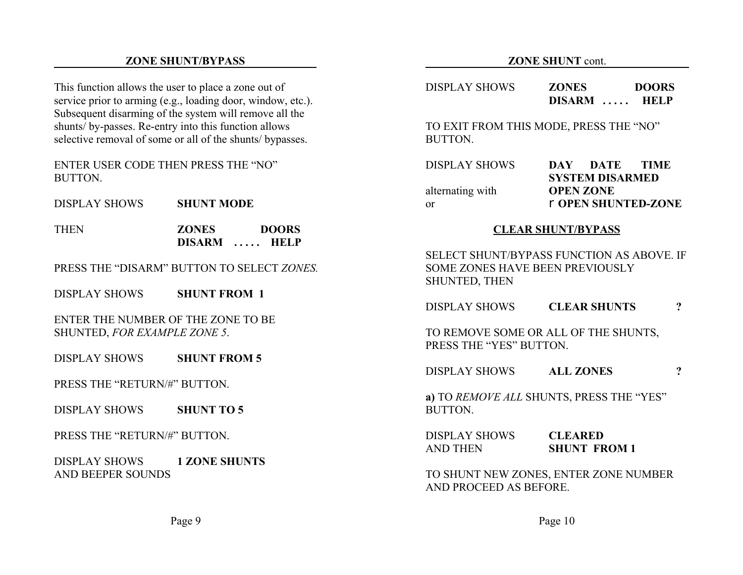#### **ZONE SHUNT/BYPASS**

This function allows the user to place a zone out of service prior to arming (e.g., loading door, window, etc.). Subsequent disarming of the system will remove all the shunts/ by-passes. Re-entry into this function allows selective removal of some or all of the shunts/ bypasses.

ENTER USER CODE THEN PRESS THE "NO"BUTTON.

DISPLAY SHOWS**SHUNT MODE**

**THEN ZONES DOORS DISARM . . . . . HELP**

PRESS THE "DISARM" BUTTON TO SELECT *ZONES.*

DISPLAY SHOWS**SHUNT FROM 1**

ENTER THE NUMBER OF THE ZONE TO BESHUNTED, *FOR EXAMPLE ZONE 5*.

DISPLAY SHOWS**SHUNT FROM 5**

PRESS THE "RETURN/#" BUTTON.

DISPLAY SHOWS**SHUNT TO 5**

PRESS THE "RETURN/#" BUTTON.

DISPLAY SHOWS **1 ZONE SHUNTS** AND BEEPER SOUNDS

#### **ZONE SHUNT** cont.

| DISPLAY SHOWS | <b>ZONES</b> | <b>DOORS</b> |
|---------------|--------------|--------------|
|               | DISARM  HELP |              |
|               |              |              |

TO EXIT FROM THIS MODE, PRESS THE "NO" BUTTON.

| <b>DISPLAY SHOWS</b> | DAY | DATE TIME              |                            |
|----------------------|-----|------------------------|----------------------------|
|                      |     | <b>SYSTEM DISARMED</b> |                            |
| alternating with     |     | <b>OPEN ZONE</b>       |                            |
| or                   |     |                        | <b>r OPEN SHUNTED-ZONE</b> |
|                      |     |                        |                            |

#### **CLEAR SHUNT/BYPASS**

SELECT SHUNT/BYPASS FUNCTION AS ABOVE. IFSOME ZONES HAVE BEEN PREVIOUSLYSHUNTED, THEN

DISPLAY SHOWS**CLEAR SHUNTS ?**

TO REMOVE SOME OR ALL OF THE SHUNTS, PRESS THE "YES" BUTTON.

DISPLAY SHOWS**ALL ZONES ?**

**a)** TO *REMOVE ALL* SHUNTS, PRESS THE "YES" BUTTON.

DISPLAY SHOWS **CLEARED**AND THEN**SHUNT FROM 1**

TO SHUNT NEW ZONES, ENTER ZONE NUMBER AND PROCEED AS BEFORE.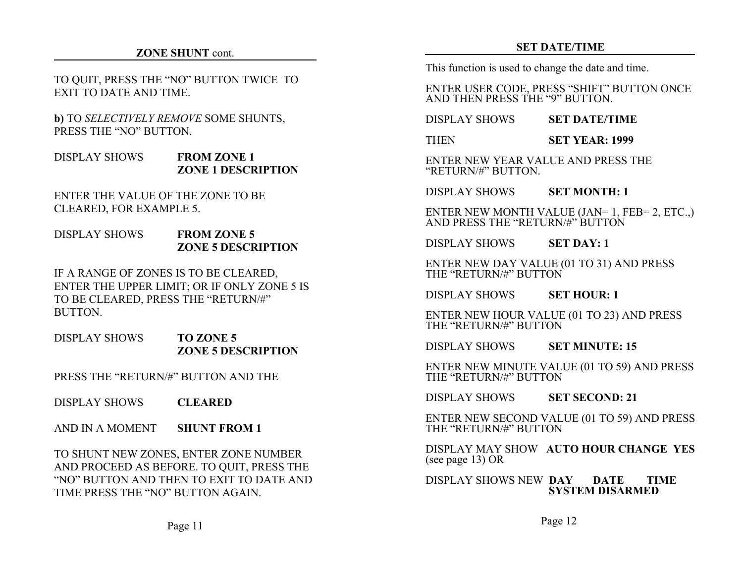#### **ZONE SHUNT** cont.

#### TO QUIT, PRESS THE "NO" BUTTON TWICE TO EXIT TO DATE AND TIME.

**b)** TO *SELECTIVELY REMOVE* SOME SHUNTS, PRESS THE "NO" BUTTON.

#### DISPLAY SHOWS **FROM ZONE 1 ZONE 1 DESCRIPTION**

ENTER THE VALUE OF THE ZONE TO BECLEARED, FOR EXAMPLE 5.

#### DISPLAY SHOWS **FROM ZONE 5 ZONE 5 DESCRIPTION**

IF A RANGE OF ZONES IS TO BE CLEARED, ENTER THE UPPER LIMIT; OR IF ONLY ZONE 5 IS TO BE CLEARED, PRESS THE "RETURN/#" BUTTON.

#### DISPLAY SHOWS **TO ZONE 5 ZONE 5 DESCRIPTION**

PRESS THE "RETURN/#" BUTTON AND THE

DISPLAY SHOWS**CLEARED**

AND IN A MOMENT**SHUNT FROM 1**

TO SHUNT NEW ZONES, ENTER ZONE NUMBER AND PROCEED AS BEFORE. TO QUIT, PRESS THE "NO" BUTTON AND THEN TO EXIT TO DATE ANDTIME PRESS THE "NO" BUTTON AGAIN.

#### **SET DATE/TIME**

This function is used to change the date and time.

ENTER USER CODE, PRESS "SHIFT" BUTTON ONCE AND THEN PRESS THE "9" BUTTON.

DISPLAY SHOWS**SET DATE/TIME**

**THEN SET YEAR: 1999**

ENTER NEW YEAR VALUE AND PRESS THE"RETURN/#" BUTTON.

#### DISPLAY SHOWS**SET MONTH: 1**

ENTER NEW MONTH VALUE (JAN= 1, FEB= 2, ETC.,) AND PRESS THE "RETURN/#" BUTTON

DISPLAY SHOWS**SET DAY: 1**

ENTER NEW DAY VALUE (01 TO 31) AND PRESS THE "RETURN/#" BUTTON

DISPLAY SHOWS**SET HOUR: 1**

ENTER NEW HOUR VALUE (01 TO 23) AND PRESS THE "RETURN/#" BUTTON

#### DISPLAY SHOWS**SET MINUTE: 15**

ENTER NEW MINUTE VALUE (01 TO 59) AND PRESS THE "RETURN/#" BUTTON

DISPLAY SHOWS**SET SECOND: 21**

ENTER NEW SECOND VALUE (01 TO 59) AND PRESS THE "RETURN/#" BUTTON

DISPLAY MAY SHOW **AUTO HOUR CHANGE YES**(see page 13) OR

DISPLAY SHOWS NEW **DAY DATE TIME SYSTEM DISARMED**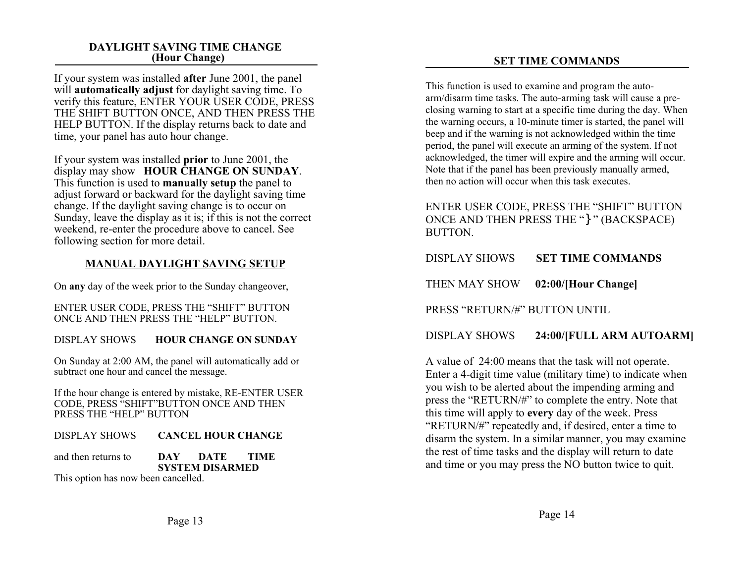#### **DAYLIGHT SAVING TIME CHANGE (Hour Change)**

If your system was installed **after** June 2001, the panel will **automatically adjust** for daylight saving time. To verify this feature, ENTER YOUR USER CODE, PRESS THE SHIFT BUTTON ONCE, AND THEN PRESS THE HELP BUTTON. If the display returns back to date and time, your panel has auto hour change.

If your system was installed **prior** to June 2001, the display may show **HOUR CHANGE ON SUNDAY**. This function is used to **manually setup** the panel to adjust forward or backward for the daylight saving time change. If the daylight saving change is to occur on Sunday, leave the display as it is; if this is not the correct weekend, re-enter the procedure above to cancel. See following section for more detail.

#### **MANUAL DAYLIGHT SAVING SETUP**

On **any** day of the week prior to the Sunday changeover,

ENTER USER CODE, PRESS THE "SHIFT" BUTTON ONCE AND THEN PRESS THE "HELP" BUTTON.

#### DISPLAY SHOWS**HOUR CHANGE ON SUNDAY**

On Sunday at 2:00 AM, the panel will automatically add or subtract one hour and cancel the message.

If the hour change is entered by mistake, RE-ENTER USER CODE, PRESS "SHIFT"BUTTON ONCE AND THEN PRESS THE "HELP" BUTTON

DISPLAY SHOWS **CANCEL HOUR CHANGE**

and then returns to **DAY DATE TIMESYSTEM DISARMED**

This option has now been cancelled.

#### **SET TIME COMMANDS**

This function is used to examine and program the autoarm/disarm time tasks. The auto-arming task will cause a preclosing warning to start at a specific time during the day. When the warning occurs, a 10-minute timer is started, the panel will beep and if the warning is not acknowledged within the time period, the panel will execute an arming of the system. If not acknowledged, the timer will expire and the arming will occur. Note that if the panel has been previously manually armed, then no action will occur when this task executes.

ENTER USER CODE, PRESS THE "SHIFT" BUTTON ONCE AND THEN PRESS THE "}" (BACKSPACE) BUTTON.

|  | DISPLAY SHOWS | <b>SET TIME COMMANDS</b> |
|--|---------------|--------------------------|
|--|---------------|--------------------------|

THEN MAY SHOW **02:00/[Hour Change]**

PRESS "RETURN/#" BUTTON UNTIL

#### DISPLAY SHOWS **24:00/[FULL ARM AUTOARM]**

A value of 24:00 means that the task will not operate. Enter a 4-digit time value (military time) to indicate when you wish to be alerted about the impending arming and press the "RETURN/#" to complete the entry. Note that this time will apply to **every** day of the week. Press "RETURN/#" repeatedly and, if desired, enter a time to disarm the system. In a similar manner, you may examine the rest of time tasks and the display will return to date and time or you may press the NO button twice to quit.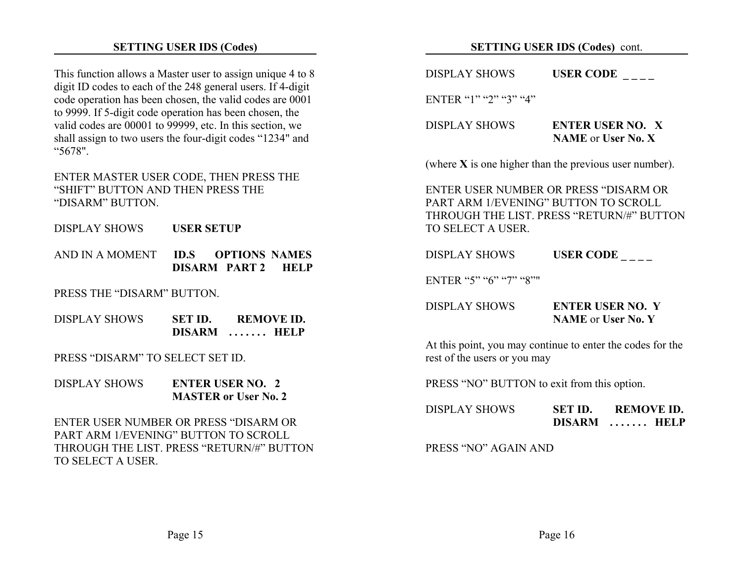#### **SETTING USER IDS (Codes)**

This function allows a Master user to assign unique 4 to 8 digit ID codes to each of the 248 general users. If 4-digit code operation has been chosen, the valid codes are 0001 to 9999. If 5-digit code operation has been chosen, the valid codes are 00001 to 99999, etc. In this section, we shall assign to two users the four-digit codes "1234" and "5678".

ENTER MASTER USER CODE, THEN PRESS THE "SHIFT" BUTTON AND THEN PRESS THE"DISARM" BUTTON.

DISPLAY SHOWS **USER SETUP**

AND IN A MOMENT **ID.S OPTIONS NAMESDISARM PART 2 HELP**

PRESS THE "DISARM" BUTTON.

| <b>DISPLAY SHOWS</b> | SET ID.       | <b>REMOVE ID.</b> |
|----------------------|---------------|-------------------|
|                      | <b>DISARM</b> | $\ldots$ HELP     |

PRESS "DISARM" TO SELECT SET ID.

DISPLAY SHOWS **ENTER USER NO. 2MASTER or User No. 2**

ENTER USER NUMBER OR PRESS "DISARM ORPART ARM 1/EVENING" BUTTON TO SCROLLTHROUGH THE LIST. PRESS "RETURN/#" BUTTONTO SELECT A USER.

#### **SETTING USER IDS (Codes)** cont.

 $DISPLAY$  SHOWS **USER CODE** 

ENTER "1" "2" "3" "4"

| <b>DISPLAY SHOWS</b> | <b>ENTER USER NO. X</b>   |
|----------------------|---------------------------|
|                      | <b>NAME</b> or User No. X |

(where **X** is one higher than the previous user number).

ENTER USER NUMBER OR PRESS "DISARM ORPART ARM 1/EVENING" BUTTON TO SCROLLTHROUGH THE LIST. PRESS "RETURN/#" BUTTON TO SELECT A USER.

DISPLAY SHOWS**USER CODE \_ \_ \_ \_** 

ENTER "5" "6" "7" "8""

| <b>DISPLAY SHOWS</b> | <b>ENTER USER NO. Y</b>   |
|----------------------|---------------------------|
|                      | <b>NAME</b> or User No. Y |

At this point, you may continue to enter the codes for the rest of the users or you may

PRESS "NO" BUTTON to exit from this option.

| <b>DISPLAY SHOWS</b> | SET ID.       | <b>REMOVE ID.</b>    |
|----------------------|---------------|----------------------|
|                      | <b>DISARM</b> | $\ldots \ldots$ HELP |

PRESS "NO" AGAIN AND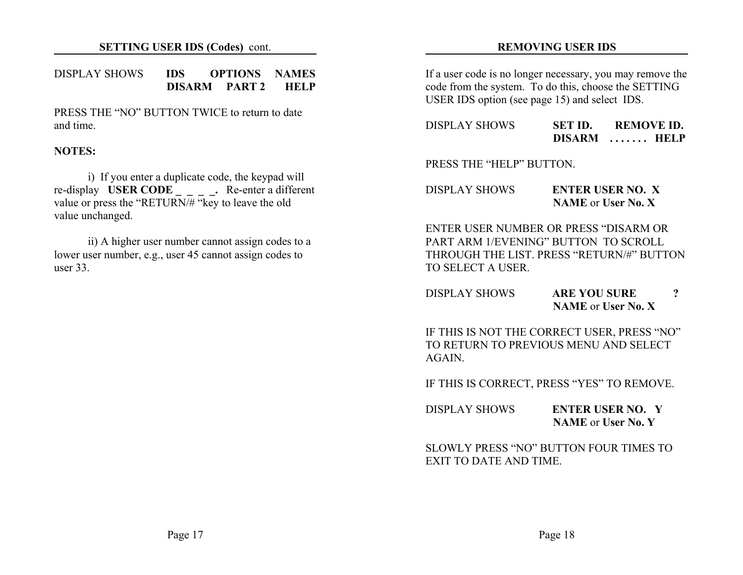#### DISPLAY SHOWS **IDS OPTIONS NAMESDISARM PART 2 HELP**

PRESS THE "NO" BUTTON TWICE to return to dateand time.

#### **NOTES:**

i) If you enter a duplicate code, the keypad will re-display **USER CODE \_ \_ \_ \_.** Re-enter a different value or press the "RETURN/# "key to leave the old value unchanged.

ii) A higher user number cannot assign codes to a lower user number, e.g., user 45 cannot assign codes to user 33.

#### **REMOVING USER IDS**

If a user code is no longer necessary, you may remove the code from the system. To do this, choose the SETTING USER IDS option (see page 15) and select IDS.

| <b>DISPLAY SHOWS</b> | SET ID.       | <b>REMOVE ID.</b>    |
|----------------------|---------------|----------------------|
|                      | <b>DISARM</b> | $\ldots \ldots$ HELP |

PRESS THE "HELP" BUTTON.

DISPLAY SHOWS **ENTER USER NO. XNAME** or **User No. X**

ENTER USER NUMBER OR PRESS "DISARM ORPART ARM 1/EVENING" BUTTON TO SCROLLTHROUGH THE LIST. PRESS "RETURN/#" BUTTONTO SELECT A USER.

| DISPLAY SHOWS | <b>ARE YOU SURE</b>       |  |
|---------------|---------------------------|--|
|               | <b>NAME</b> or User No. X |  |

IF THIS IS NOT THE CORRECT USER, PRESS "NO" TO RETURN TO PREVIOUS MENU AND SELECTAGAIN.

IF THIS IS CORRECT, PRESS "YES" TO REMOVE.

| <b>DISPLAY SHOWS</b> | <b>ENTER USER NO.</b>     |
|----------------------|---------------------------|
|                      | <b>NAME</b> or User No. Y |

SLOWLY PRESS "NO" BUTTON FOUR TIMES TOEXIT TO DATE AND TIME.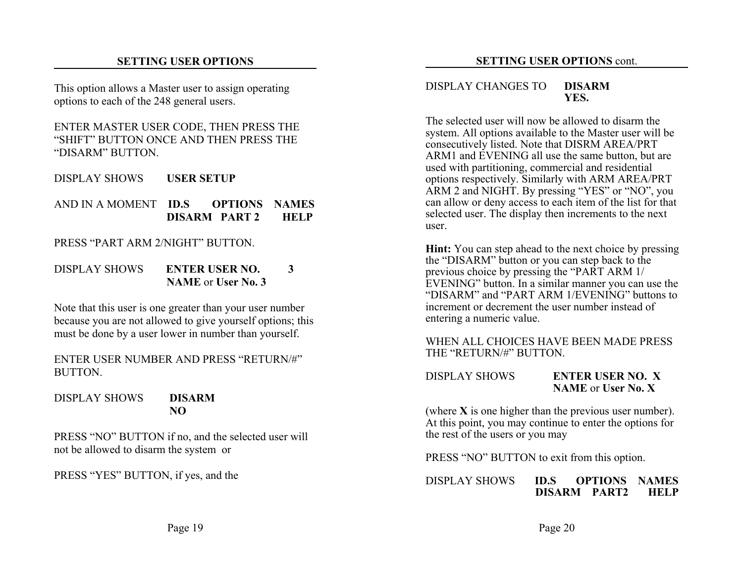#### **SETTING USER OPTIONS**

This option allows a Master user to assign operating options to each of the 248 general users.

ENTER MASTER USER CODE, THEN PRESS THE "SHIFT" BUTTON ONCE AND THEN PRESS THE"DISARM" BUTTON.

- DISPLAY SHOWS **USER SETUP**
- AND IN A MOMENT **ID.S OPTIONS NAMESDISARM PART 2 HELP**

PRESS "PART ARM 2/NIGHT" BUTTON.

DISPLAY SHOWS **ENTER USER NO. 3NAME** or **User No. 3**

Note that this user is one greater than your user number because you are not allowed to give yourself options; this must be done by a user lower in number than yourself.

ENTER USER NUMBER AND PRESS "RETURN/#"**BUTTON** 

DISPLAY SHOWS **DISARMNO**

PRESS "NO" BUTTON if no, and the selected user will not be allowed to disarm the system or

PRESS "YES" BUTTON, if yes, and the

#### DISPLAY CHANGES TO **DISARM YES.**

The selected user will now be allowed to disarm thesystem. All options available to the Master user will be consecutively listed. Note that DISRM AREA/PRT ARM1 and EVENING all use the same button, but are used with partitioning, commercial and residential options respectively. Similarly with ARM AREA/PRT ARM 2 and NIGHT. By pressing "YES" or "NO", you can allow or deny access to each item of the list for that selected user. The display then increments to the next user.

**Hint:** You can step ahead to the next choice by pressing the "DISARM" button or you can step back to the previous choice by pressing the "PART ARM 1/ EVENING" button. In a similar manner you can use the "DISARM" and "PART ARM 1/EVENING" buttons toincrement or decrement the user number instead ofentering a numeric value.

#### WHEN ALL CHOICES HAVE BEEN MADE PRESSTHE "RETURN/#" BUTTON.

#### DISPLAY SHOWS **ENTER USER NO. XNAME** or **User No. X**

(where **X** is one higher than the previous user number). At this point, you may continue to enter the options for the rest of the users or you may

PRESS "NO" BUTTON to exit from this option.

#### DISPLAY SHOWS **ID.S OPTIONS NAMESDISARM PART2 HELP**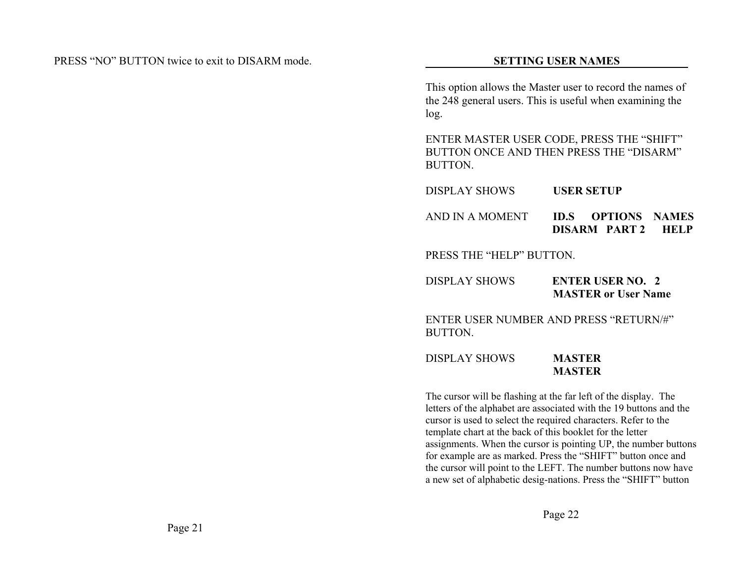This option allows the Master user to record the names of the 248 general users. This is useful when examining the log.

ENTER MASTER USER CODE, PRESS THE "SHIFT" BUTTON ONCE AND THEN PRESS THE "DISARM"**BUTTON** 

| DISPLAY SHOWS   | <b>USER SETUP</b>                               |  |  |
|-----------------|-------------------------------------------------|--|--|
| AND IN A MOMENT | <b>ID.S OPTIONS NAMES</b><br>DISARM PART 2 HELP |  |  |

PRESS THE "HELP" BUTTON.

| <b>DISPLAY SHOWS</b> | <b>ENTER USER NO. 2</b>    |
|----------------------|----------------------------|
|                      | <b>MASTER or User Name</b> |

ENTER USER NUMBER AND PRESS "RETURN/#"BUTTON.

DISPLAY SHOWS **MASTERMASTER**

The cursor will be flashing at the far left of the display. The letters of the alphabet are associated with the 19 buttons and the cursor is used to select the required characters. Refer to the template chart at the back of this booklet for the letter assignments. When the cursor is pointing UP, the number buttons for example are as marked. Press the "SHIFT" button once and the cursor will point to the LEFT. The number buttons now have a new set of alphabetic desig-nations. Press the "SHIFT" button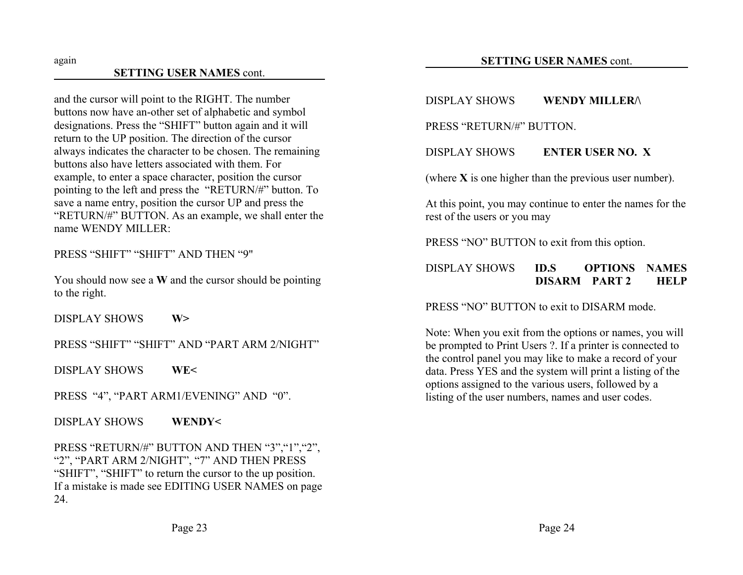#### **SETTING USER NAMES** cont.

and the cursor will point to the RIGHT. The number buttons now have an-other set of alphabetic and symbol designations. Press the "SHIFT" button again and it will return to the UP position. The direction of the cursor always indicates the character to be chosen. The remaining buttons also have letters associated with them. Forexample, to enter a space character, position the cursor pointing to the left and press the "RETURN/#" button. To save a name entry, position the cursor UP and press the "RETURN/#" BUTTON. As an example, we shall enter the name WENDY MILLER:

PRESS "SHIFT" "SHIFT" AND THEN "9"

You should now see a **W** and the cursor should be pointing to the right.

DISPLAY SHOWS **W>**

PRESS "SHIFT" "SHIFT" AND "PART ARM 2/NIGHT"

DISPLAY SHOWS **WE<**

PRESS "4", "PART ARM1/EVENING" AND "0".

DISPLAY SHOWS **WENDY<**

PRESS "RETURN/#" BUTTON AND THEN "3", "1", "2", "2", "PART ARM 2/NIGHT", "7" AND THEN PRESS "SHIFT", "SHIFT" to return the cursor to the up position. If a mistake is made see EDITING USER NAMES on page 24.

# DISPLAY SHOWS **WENDY MILLER/\**

PRESS "RETURN/#" BUTTON.

DISPLAY SHOWS **ENTER USER NO. X**

(where **X** is one higher than the previous user number).

At this point, you may continue to enter the names for the rest of the users or you may

PRESS "NO" BUTTON to exit from this option.

#### DISPLAY SHOWS **ID.S OPTIONS NAMESDISARM PART 2 HELP**

PRESS "NO" BUTTON to exit to DISARM mode.

Note: When you exit from the options or names, you will be prompted to Print Users ?. If a printer is connected to the control panel you may like to make a record of your data. Press YES and the system will print a listing of the options assigned to the various users, followed by a listing of the user numbers, names and user codes.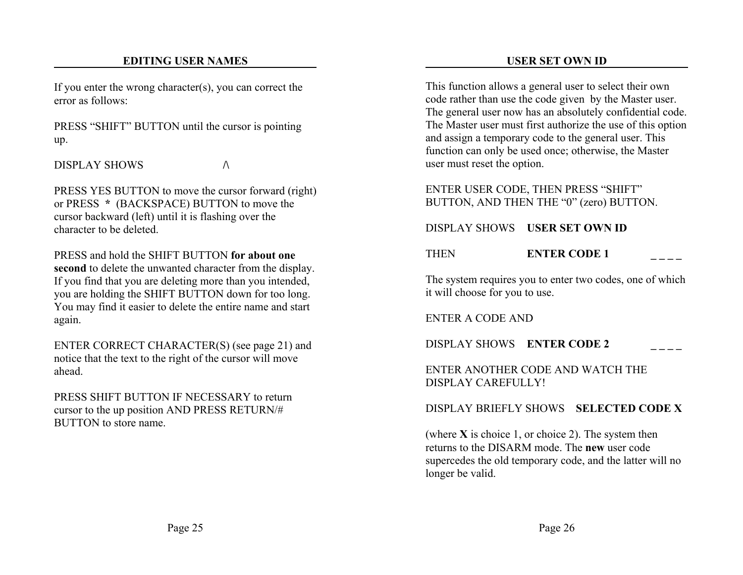## **EDITING USER NAMES**

If you enter the wrong character(s), you can correct the error as follows:

PRESS "SHIFT" BUTTON until the cursor is pointing up.

DISPLAY SHOWS $\mathbf S$   $\qquad \qquad \wedge$ 

PRESS YES BUTTON to move the cursor forward (right) or PRESS **\*** (BACKSPACE) BUTTON to move the cursor backward (left) until it is flashing over the character to be deleted.

PRESS and hold the SHIFT BUTTON **for about onesecond** to delete the unwanted character from the display. If you find that you are deleting more than you intended, you are holding the SHIFT BUTTON down for too long. You may find it easier to delete the entire name and start again.

ENTER CORRECT CHARACTER(S) (see page 21) and notice that the text to the right of the cursor will move ahead.

PRESS SHIFT BUTTON IF NECESSARY to returncursor to the up position AND PRESS RETURN/# BUTTON to store name.

This function allows a general user to select their own code rather than use the code given by the Master user. The general user now has an absolutely confidential code. The Master user must first authorize the use of this option and assign a temporary code to the general user. This function can only be used once; otherwise, the Master user must reset the option.

ENTER USER CODE, THEN PRESS "SHIFT" BUTTON, AND THEN THE "0" (zero) BUTTON.

# DISPLAY SHOWS **USER SET OWN ID**

#### **THEN ENTER CODE 1**

The system requires you to enter two codes, one of which it will choose for you to use.

ENTER A CODE AND

DISPLAY SHOWS **ENTER CODE 2 \_ \_ \_ \_**

ENTER ANOTHER CODE AND WATCH THEDISPLAY CAREFULLY!

# DISPLAY BRIEFLY SHOWS **SELECTED CODE X**

(where **X** is choice 1, or choice 2). The system then returns to the DISARM mode. The **new** user codesupercedes the old temporary code, and the latter will no longer be valid.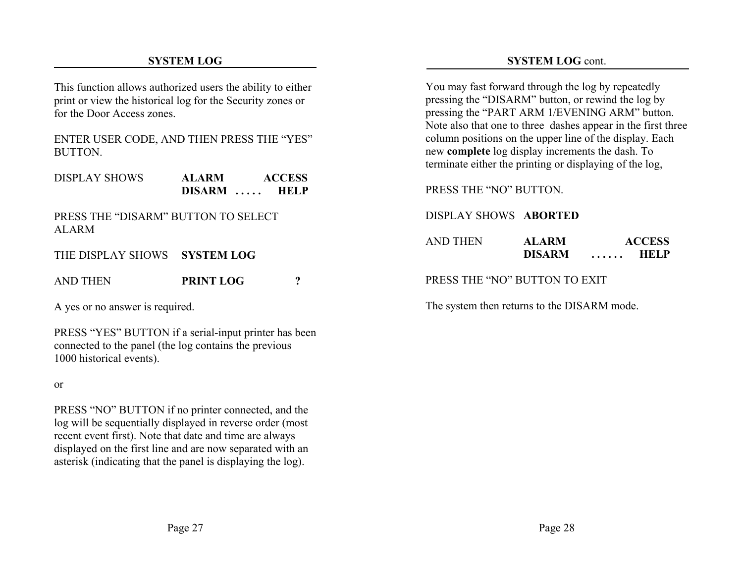#### **SYSTEM LOG**

## **SYSTEM LOG** cont.

This function allows authorized users the ability to either print or view the historical log for the Security zones or for the Door Access zones.

ENTER USER CODE, AND THEN PRESS THE "YES" **BUTTON** 

| <b>DISPLAY SHOWS</b> | <b>ALARM</b>  | <b>ACCESS</b>    |
|----------------------|---------------|------------------|
|                      | <b>DISARM</b> | <b>HELP</b><br>. |

PRESS THE "DISARM" BUTTON TO SELECTALARM

THE DISPLAY SHOWS **SYSTEM LOG**

AND THEN**PRINT LOG ?**

A yes or no answer is required.

PRESS "YES" BUTTON if a serial-input printer has been connected to the panel (the log contains the previous 1000 historical events).

or

PRESS "NO" BUTTON if no printer connected, and the log will be sequentially displayed in reverse order (most recent event first). Note that date and time are always displayed on the first line and are now separated with an asterisk (indicating that the panel is displaying the log).

You may fast forward through the log by repeatedly pressing the "DISARM" button, or rewind the log by pressing the "PART ARM 1/EVENING ARM" button. Note also that one to three dashes appear in the first three column positions on the upper line of the display. Each new **complete** log display increments the dash. To terminate either the printing or displaying of the log,

PRESS THE "NO" BUTTON.

DISPLAY SHOWS **ABORTED**

AND THEN **ALARM ACCESS DISARM . . . . . . HELP**

PRESS THE "NO" BUTTON TO EXIT

The system then returns to the DISARM mode.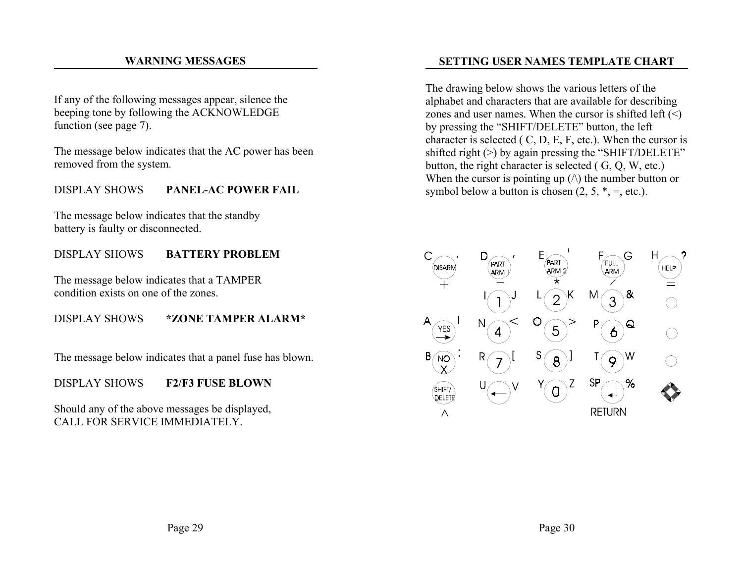#### **WARNING MESSAGES**

If any of the following messages appear, silence the beeping tone by following the ACKNOWLEDGE function (see page 7).

The message below indicates that the AC power has been removed from the system.

#### DISPLAY SHOWS **PANEL-AC POWER FAIL**

The message below indicates that the standby battery is faulty or disconnected.

## DISPLAY SHOWS **BATTERY PROBLEM**

The message below indicates that a TAMPER condition exists on one of the zones.

#### DISPLAY SHOWS **\*ZONE TAMPER ALARM\***

The message below indicates that a panel fuse has blown.

#### DISPLAY SHOWS **F2/F3 FUSE BLOWN**

Should any of the above messages be displayed, CALL FOR SERVICE IMMEDIATELY.

## **SETTING USER NAMES TEMPLATE CHART**

The drawing below shows the various letters of the alphabet and characters that are available for describing zones and user names. When the cursor is shifted left  $(\le)$ by pressing the "SHIFT/DELETE" button, the left character is selected ( C, D, E, F, etc.). When the cursor is shifted right  $(>)$  by again pressing the "SHIFT/DELETE" button, the right character is selected ( G, Q, W, etc.) When the cursor is pointing up  $(\wedge)$  the number button or symbol below a button is chosen  $(2, 5, * = 1)$ , etc.).